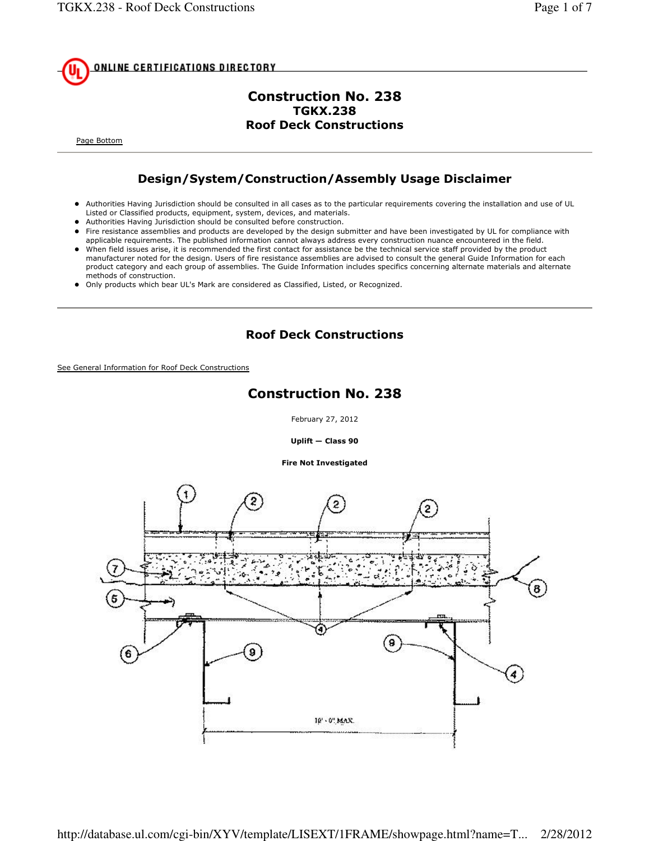

### Construction No. 238 TGKX.238 Roof Deck Constructions

Page Bottom

## Design/System/Construction/Assembly Usage Disclaimer

- Authorities Having Jurisdiction should be consulted in all cases as to the particular requirements covering the installation and use of UL Listed or Classified products, equipment, system, devices, and materials.
- Authorities Having Jurisdiction should be consulted before construction.
- Fire resistance assemblies and products are developed by the design submitter and have been investigated by UL for compliance with applicable requirements. The published information cannot always address every construction nuance encountered in the field.
- When field issues arise, it is recommended the first contact for assistance be the technical service staff provided by the product manufacturer noted for the design. Users of fire resistance assemblies are advised to consult the general Guide Information for each product category and each group of assemblies. The Guide Information includes specifics concerning alternate materials and alternate methods of construction.
- Only products which bear UL's Mark are considered as Classified, Listed, or Recognized.

### Roof Deck Constructions

See General Information for Roof Deck Constructions

# Construction No. 238

February 27, 2012

Uplift — Class 90

Fire Not Investigated

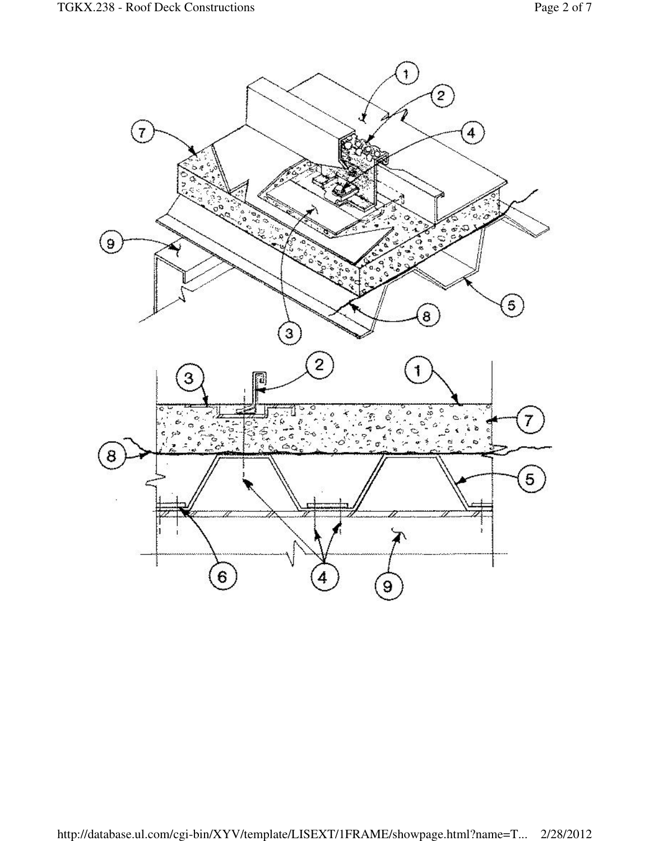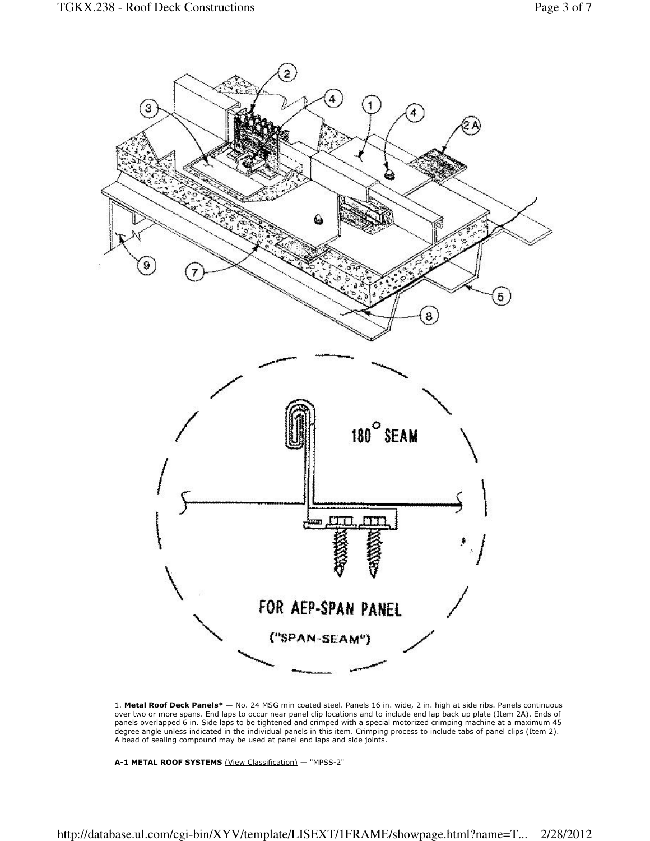

1. Metal Roof Deck Panels\* — No. 24 MSG min coated steel. Panels 16 in. wide, 2 in. high at side ribs. Panels continuous over two or more spans. End laps to occur near panel clip locations and to include end lap back up plate (Item 2A). Ends of panels overlapped 6 in. Side laps to be tightened and crimped with a special motorized crimping machine at a maximum 45 degree angle unless indicated in the individual panels in this item. Crimping process to include tabs of panel clips (Item 2). A bead of sealing compound may be used at panel end laps and side joints.

A-1 METAL ROOF SYSTEMS (View Classification) — "MPSS-2"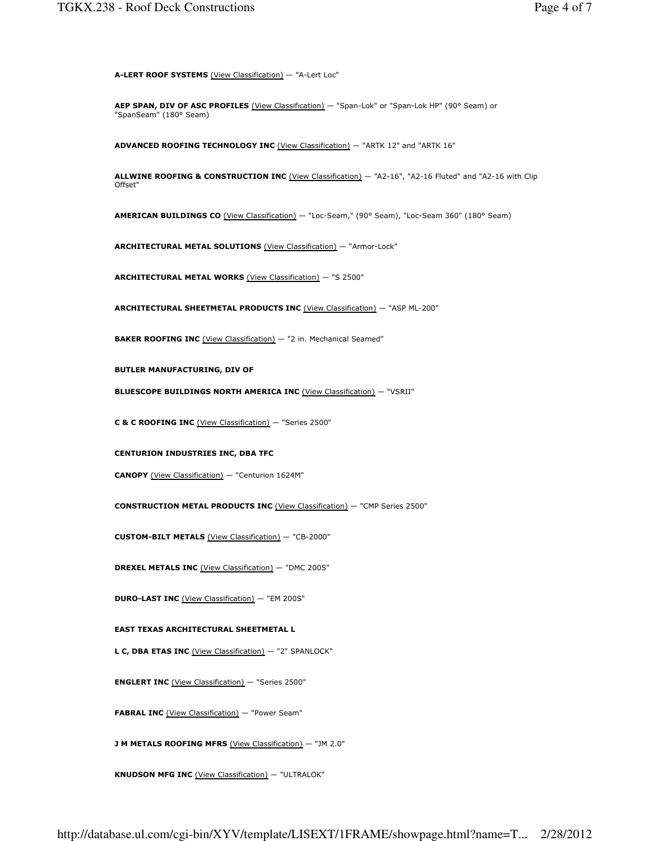A-LERT ROOF SYSTEMS (View Classification) — "A-Lert Loc"

AEP SPAN, DIV OF ASC PROFILES (View Classification) - "Span-Lok" or "Span-Lok HP" (90° Seam) or "SpanSeam" (180° Seam)

ADVANCED ROOFING TECHNOLOGY INC (View Classification) - "ARTK 12" and "ARTK 16"

ALLWINE ROOFING & CONSTRUCTION INC (View Classification) - "A2-16", "A2-16 Fluted" and "A2-16 with Clip Offset"

AMERICAN BUILDINGS CO (View Classification) - "Loc-Seam," (90° Seam), "Loc-Seam 360" (180° Seam)

ARCHITECTURAL METAL SOLUTIONS (View Classification) — "Armor-Lock"

ARCHITECTURAL METAL WORKS (View Classification) — "S 2500"

ARCHITECTURAL SHEETMETAL PRODUCTS INC (View Classification) — "ASP ML-200"

BAKER ROOFING INC (View Classification) - "2 in. Mechanical Seamed"

BUTLER MANUFACTURING, DIV OF

BLUESCOPE BUILDINGS NORTH AMERICA INC (View Classification) - "VSRII"

C & C ROOFING INC (View Classification) — "Series 2500"

CENTURION INDUSTRIES INC, DBA TFC

CANOPY (View Classification) — "Centurion 1624M"

CONSTRUCTION METAL PRODUCTS INC (View Classification) — "CMP Series 2500"

CUSTOM-BILT METALS (View Classification) — "CB-2000"

DREXEL METALS INC (View Classification) — "DMC 200S"

DURO-LAST INC (View Classification) — "EM 200S"

#### EAST TEXAS ARCHITECTURAL SHEETMETAL L

L C, DBA ETAS INC (View Classification) - "2" SPANLOCK"

ENGLERT INC (View Classification) — "Series 2500"

FABRAL INC (View Classification) - "Power Seam"

J M METALS ROOFING MFRS (View Classification) — "JM 2.0"

KNUDSON MFG INC (View Classification) — "ULTRALOK"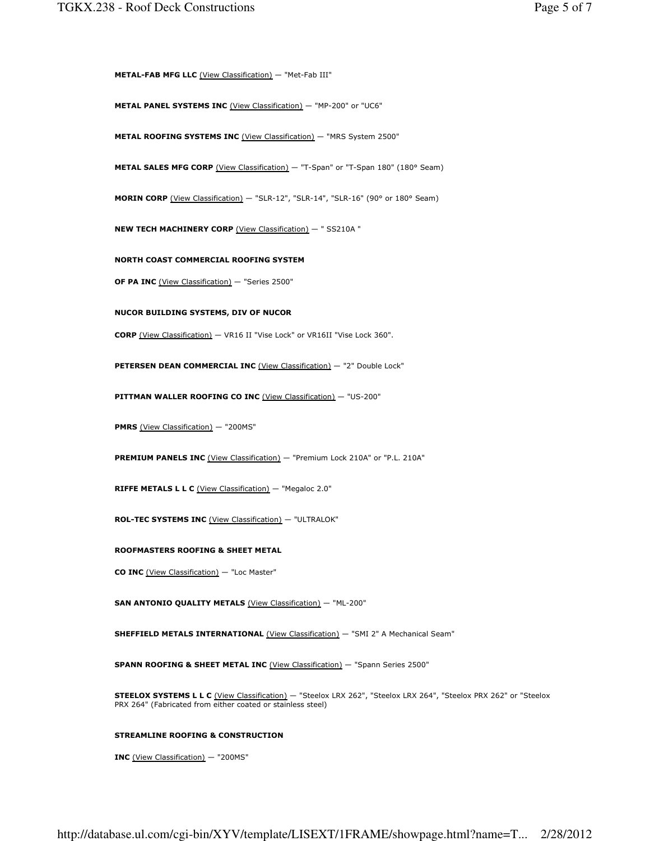METAL-FAB MFG LLC (View Classification) — "Met-Fab III"

METAL PANEL SYSTEMS INC (View Classification) - "MP-200" or "UC6"

METAL ROOFING SYSTEMS INC (View Classification) - "MRS System 2500"

METAL SALES MFG CORP (View Classification) - "T-Span" or "T-Span 180" (180° Seam)

MORIN CORP (View Classification) — "SLR-12", "SLR-14", "SLR-16" (90° or 180° Seam)

NEW TECH MACHINERY CORP (View Classification) — " SS210A "

NORTH COAST COMMERCIAL ROOFING SYSTEM

OF PA INC (View Classification) - "Series 2500"

NUCOR BUILDING SYSTEMS, DIV OF NUCOR

CORP (View Classification) — VR16 II "Vise Lock" or VR16II "Vise Lock 360".

PETERSEN DEAN COMMERCIAL INC (View Classification) - "2" Double Lock"

PITTMAN WALLER ROOFING CO INC (View Classification) - "US-200"

PMRS (View Classification) - "200MS"

PREMIUM PANELS INC (View Classification) - "Premium Lock 210A" or "P.L. 210A"

RIFFE METALS L L C (View Classification) - "Megaloc 2.0"

ROL-TEC SYSTEMS INC (View Classification) - "ULTRALOK"

ROOFMASTERS ROOFING & SHEET METAL

CO INC (View Classification) — "Loc Master"

SAN ANTONIO QUALITY METALS (View Classification) — "ML-200"

SHEFFIELD METALS INTERNATIONAL (View Classification) — "SMI 2" A Mechanical Seam"

SPANN ROOFING & SHEET METAL INC (View Classification) - "Spann Series 2500"

STEELOX SYSTEMS L L C (View Classification) — "Steelox LRX 262", "Steelox LRX 264", "Steelox PRX 262" or "Steelox PRX 264" (Fabricated from either coated or stainless steel)

### STREAMLINE ROOFING & CONSTRUCTION

INC (View Classification) — "200MS"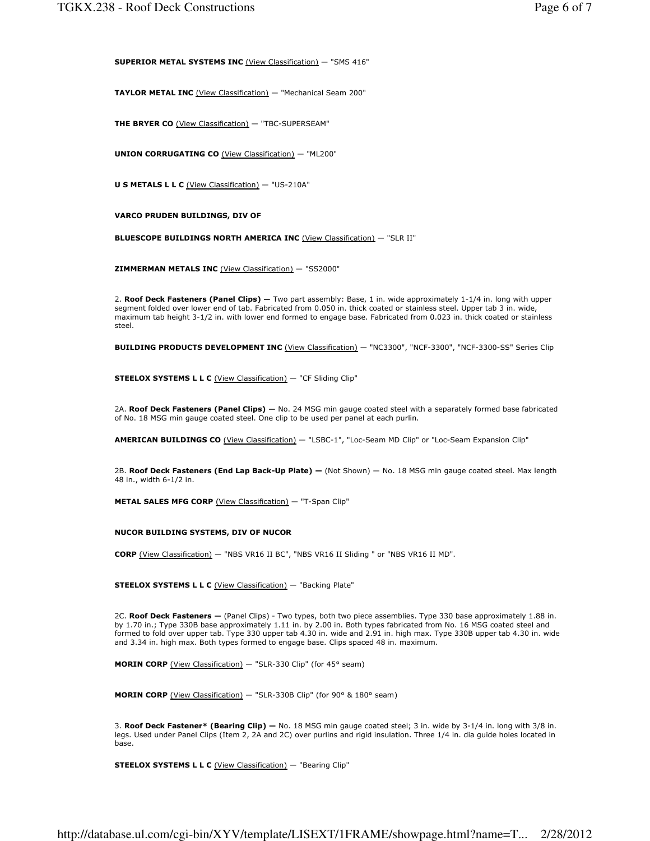SUPERIOR METAL SYSTEMS INC (View Classification) — "SMS 416"

TAYLOR METAL INC (View Classification) - "Mechanical Seam 200"

THE BRYER CO (View Classification) - "TBC-SUPERSEAM"

UNION CORRUGATING CO (View Classification) — "ML200"

U S METALS L L C (View Classification) — "US-210A"

VARCO PRUDEN BUILDINGS, DIV OF

BLUESCOPE BUILDINGS NORTH AMERICA INC (View Classification) - "SLR II"

ZIMMERMAN METALS INC (View Classification) — "SS2000"

2. Roof Deck Fasteners (Panel Clips) — Two part assembly: Base, 1 in. wide approximately 1-1/4 in. long with upper segment folded over lower end of tab. Fabricated from 0.050 in. thick coated or stainless steel. Upper tab 3 in. wide, maximum tab height 3-1/2 in. with lower end formed to engage base. Fabricated from 0.023 in. thick coated or stainless steel.

BUILDING PRODUCTS DEVELOPMENT INC (View Classification) - "NC3300", "NCF-3300", "NCF-3300-SS" Series Clip

STEELOX SYSTEMS L L C (View Classification) - "CF Sliding Clip"

2A. Roof Deck Fasteners (Panel Clips) - No. 24 MSG min gauge coated steel with a separately formed base fabricated of No. 18 MSG min gauge coated steel. One clip to be used per panel at each purlin.

AMERICAN BUILDINGS CO (View Classification) - "LSBC-1", "Loc-Seam MD Clip" or "Loc-Seam Expansion Clip"

2B. Roof Deck Fasteners (End Lap Back-Up Plate) - (Not Shown) - No. 18 MSG min gauge coated steel. Max length 48 in., width 6-1/2 in.

METAL SALES MFG CORP (View Classification) - "T-Span Clip"

#### NUCOR BUILDING SYSTEMS, DIV OF NUCOR

CORP (View Classification) — "NBS VR16 II BC", "NBS VR16 II Sliding " or "NBS VR16 II MD".

STEELOX SYSTEMS L L C (View Classification) - "Backing Plate"

2C. Roof Deck Fasteners - (Panel Clips) - Two types, both two piece assemblies. Type 330 base approximately 1.88 in. by 1.70 in.; Type 330B base approximately 1.11 in. by 2.00 in. Both types fabricated from No. 16 MSG coated steel and formed to fold over upper tab. Type 330 upper tab 4.30 in. wide and 2.91 in. high max. Type 330B upper tab 4.30 in. wide and 3.34 in. high max. Both types formed to engage base. Clips spaced 48 in. maximum.

MORIN CORP (View Classification) — "SLR-330 Clip" (for 45° seam)

MORIN CORP (View Classification) — "SLR-330B Clip" (for 90° & 180° seam)

3. Roof Deck Fastener\* (Bearing Clip) — No. 18 MSG min gauge coated steel; 3 in. wide by 3-1/4 in. long with 3/8 in. legs. Used under Panel Clips (Item 2, 2A and 2C) over purlins and rigid insulation. Three 1/4 in. dia guide holes located in base.

STEELOX SYSTEMS L L C (View Classification) - "Bearing Clip"